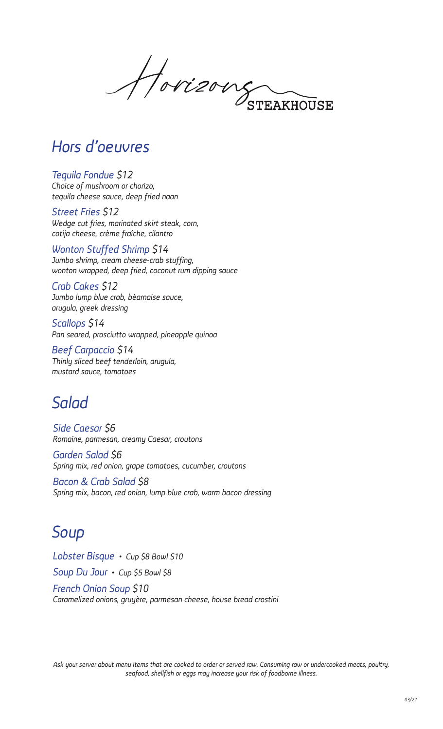Horizous **FRAKHOUSE** 

### *Hors d'oeuvres*

*Tequila Fondue \$12 Choice of mushroom or chorizo, tequila cheese sauce, deep fried naan*

*Street Fries \$12 Wedge cut fries, marinated skirt steak, corn, cotija cheese, crème fraîche, cilantro*

*Wonton Stuffed Shrimp \$14 Jumbo shrimp, cream cheese-crab stuffing, wonton wrapped, deep fried, coconut rum dipping sauce*

*Crab Cakes \$12 Jumbo lump blue crab, bèarnaise sauce, arugula, greek dressing*

*Scallops \$14 Pan seared, prosciutto wrapped, pineapple quinoa*

*Beef Carpaccio \$14 Thinly sliced beef tenderloin, arugula, mustard sauce, tomatoes*

# *Salad*

*Side Caesar \$6 Romaine, parmesan, creamy Caesar, croutons*

*Garden Salad \$6 Spring mix, red onion, grape tomatoes, cucumber, croutons*

*Bacon & Crab Salad \$8 Spring mix, bacon, red onion, lump blue crab, warm bacon dressing*

# *Soup*

*Lobster Bisque • Cup \$8 Bowl \$10 Soup Du Jour • Cup \$5 Bowl \$8 French Onion Soup \$10 Caramelized onions, gruyère, parmesan cheese, house bread crostini*

*Ask your server about menu items that are cooked to order or served raw. Consuming raw or undercooked meats, poultry, seafood, shellfish or eggs may increase your risk of foodborne illness.*